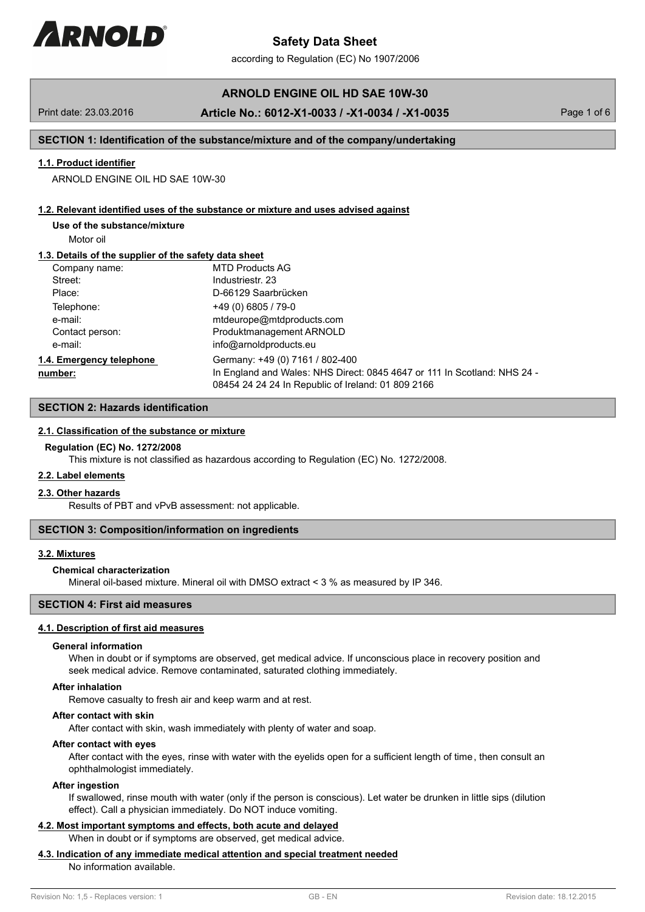# **ARNOLD ENGINE OIL HD SAE 10W-30**

## Print date: 23.03.2016 **Article No.: 6012-X1-0033 / -X1-0034 / -X1-0035** Page 1 of 6

## **SECTION 1: Identification of the substance/mixture and of the company/undertaking**

## **1.1. Product identifier**

ARNOLD ENGINE OIL HD SAE 10W-30

#### **1.2. Relevant identified uses of the substance or mixture and uses advised against**

# **Use of the substance/mixture**

Motor oil

## **1.3. Details of the supplier of the safety data sheet**

| Company name:            | MTD Products AG                                                                                                                |
|--------------------------|--------------------------------------------------------------------------------------------------------------------------------|
| Street:                  | Industriestr. 23                                                                                                               |
| Place:                   | D-66129 Saarbrücken                                                                                                            |
| Telephone:               | $+49(0)6805/79-0$                                                                                                              |
| e-mail:                  | mtdeurope@mtdproducts.com                                                                                                      |
| Contact person:          | Produktmanagement ARNOLD                                                                                                       |
| e-mail:                  | info@arnoldproducts.eu                                                                                                         |
| 1.4. Emergency telephone | Germany: +49 (0) 7161 / 802-400                                                                                                |
| number:                  | In England and Wales: NHS Direct: 0845 4647 or 111 In Scotland: NHS 24 -<br>08454 24 24 24 In Republic of Ireland: 01 809 2166 |

# **SECTION 2: Hazards identification**

## **2.1. Classification of the substance or mixture**

## **Regulation (EC) No. 1272/2008**

This mixture is not classified as hazardous according to Regulation (EC) No. 1272/2008.

## **2.2. Label elements**

## **2.3. Other hazards**

Results of PBT and vPvB assessment: not applicable.

#### **SECTION 3: Composition/information on ingredients**

#### **3.2. Mixtures**

## **Chemical characterization**

Mineral oil-based mixture. Mineral oil with DMSO extract < 3 % as measured by IP 346.

# **SECTION 4: First aid measures**

#### **4.1. Description of first aid measures**

#### **General information**

When in doubt or if symptoms are observed, get medical advice. If unconscious place in recovery position and seek medical advice. Remove contaminated, saturated clothing immediately.

#### **After inhalation**

Remove casualty to fresh air and keep warm and at rest.

### **After contact with skin**

After contact with skin, wash immediately with plenty of water and soap.

## **After contact with eyes**

After contact with the eyes, rinse with water with the eyelids open for a sufficient length of time, then consult an ophthalmologist immediately.

#### **After ingestion**

If swallowed, rinse mouth with water (only if the person is conscious). Let water be drunken in little sips (dilution effect). Call a physician immediately. Do NOT induce vomiting.

## **4.2. Most important symptoms and effects, both acute and delayed** When in doubt or if symptoms are observed, get medical advice.

## **4.3. Indication of any immediate medical attention and special treatment needed**

No information available.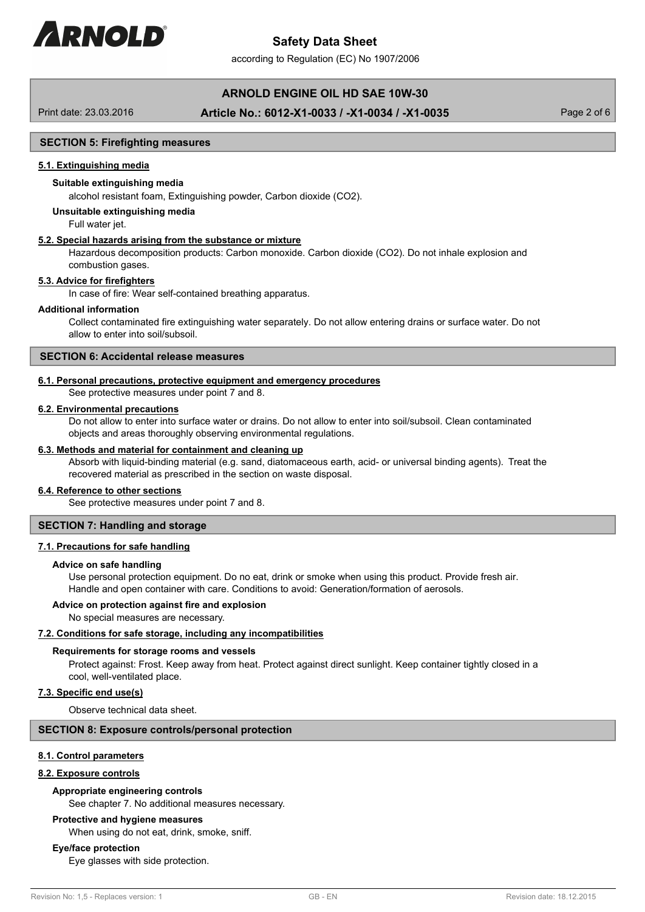

according to Regulation (EC) No 1907/2006

# **ARNOLD ENGINE OIL HD SAE 10W-30**

# Print date: 23.03.2016 **Article No.: 6012-X1-0033 / -X1-0034 / -X1-0035** Page 2 of 6

## **SECTION 5: Firefighting measures**

### **5.1. Extinguishing media**

## **Suitable extinguishing media**

alcohol resistant foam, Extinguishing powder, Carbon dioxide (CO2).

### **Unsuitable extinguishing media**

Full water jet.

## **5.2. Special hazards arising from the substance or mixture**

Hazardous decomposition products: Carbon monoxide. Carbon dioxide (CO2). Do not inhale explosion and combustion gases.

## **5.3. Advice for firefighters**

In case of fire: Wear self-contained breathing apparatus.

## **Additional information**

Collect contaminated fire extinguishing water separately. Do not allow entering drains or surface water. Do not allow to enter into soil/subsoil.

## **SECTION 6: Accidental release measures**

## **6.1. Personal precautions, protective equipment and emergency procedures**

See protective measures under point 7 and 8.

#### **6.2. Environmental precautions**

Do not allow to enter into surface water or drains. Do not allow to enter into soil/subsoil. Clean contaminated objects and areas thoroughly observing environmental regulations.

## **6.3. Methods and material for containment and cleaning up**

Absorb with liquid-binding material (e.g. sand, diatomaceous earth, acid- or universal binding agents). Treat the recovered material as prescribed in the section on waste disposal.

# **6.4. Reference to other sections**

See protective measures under point 7 and 8.

## **SECTION 7: Handling and storage**

## **7.1. Precautions for safe handling**

#### **Advice on safe handling**

Use personal protection equipment. Do no eat, drink or smoke when using this product. Provide fresh air. Handle and open container with care. Conditions to avoid: Generation/formation of aerosols.

#### **Advice on protection against fire and explosion**

No special measures are necessary.

#### **7.2. Conditions for safe storage, including any incompatibilities**

#### **Requirements for storage rooms and vessels**

Protect against: Frost. Keep away from heat. Protect against direct sunlight. Keep container tightly closed in a cool, well-ventilated place.

## **7.3. Specific end use(s)**

Observe technical data sheet.

## **SECTION 8: Exposure controls/personal protection**

#### **8.1. Control parameters**

## **8.2. Exposure controls**

## **Appropriate engineering controls**

See chapter 7. No additional measures necessary.

#### **Protective and hygiene measures**

When using do not eat, drink, smoke, sniff.

# **Eye/face protection**

Eye glasses with side protection.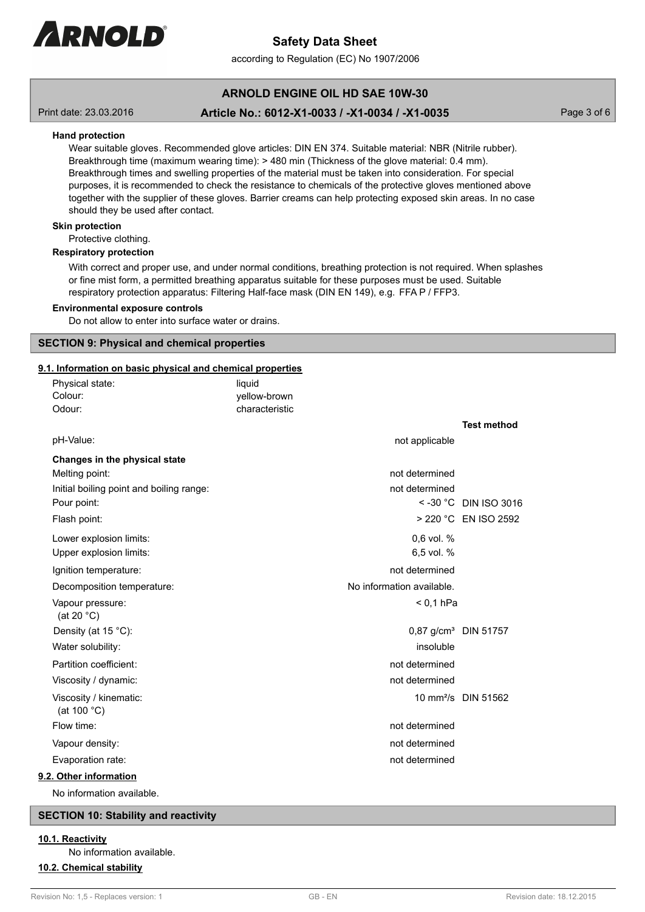

according to Regulation (EC) No 1907/2006

# **ARNOLD ENGINE OIL HD SAE 10W-30**

# Print date: 23.03.2016 **Article No.: 6012-X1-0033 / -X1-0034 / -X1-0035** Page 3 of 6

## **Hand protection**

Wear suitable gloves. Recommended glove articles: DIN EN 374. Suitable material: NBR (Nitrile rubber). Breakthrough time (maximum wearing time):  $> 480$  min (Thickness of the glove material: 0.4 mm). Breakthrough times and swelling properties of the material must be taken into consideration. For special purposes, it is recommended to check the resistance to chemicals of the protective gloves mentioned above together with the supplier of these gloves. Barrier creams can help protecting exposed skin areas. In no case should they be used after contact.

#### **Skin protection**

Protective clothing.

### **Respiratory protection**

With correct and proper use, and under normal conditions, breathing protection is not required. When splashes or fine mist form, a permitted breathing apparatus suitable for these purposes must be used. Suitable respiratory protection apparatus: Filtering Half-face mask (DIN EN 149), e.g. FFA P / FFP3.

#### **Environmental exposure controls**

Do not allow to enter into surface water or drains.

### **SECTION 9: Physical and chemical properties**

## **9.1. Information on basic physical and chemical properties**

| Physical state:                                 | liquid         |                           |                                  |
|-------------------------------------------------|----------------|---------------------------|----------------------------------|
| Colour:                                         | yellow-brown   |                           |                                  |
| Odour:                                          | characteristic |                           |                                  |
|                                                 |                |                           | <b>Test method</b>               |
| pH-Value:                                       |                | not applicable            |                                  |
| Changes in the physical state                   |                |                           |                                  |
| Melting point:                                  |                | not determined            |                                  |
| Initial boiling point and boiling range:        |                | not determined            |                                  |
| Pour point:                                     |                |                           | $<$ -30 °C DIN ISO 3016          |
| Flash point:                                    |                |                           | > 220 °C EN ISO 2592             |
| Lower explosion limits:                         |                | 0,6 vol. %                |                                  |
| Upper explosion limits:                         |                | 6,5 vol. %                |                                  |
| Ignition temperature:                           |                | not determined            |                                  |
| Decomposition temperature:                      |                | No information available. |                                  |
| Vapour pressure:<br>(at 20 $°C$ )               |                | $< 0.1$ hPa               |                                  |
| Density (at 15 °C):                             |                |                           | 0,87 g/cm <sup>3</sup> DIN 51757 |
| Water solubility:                               |                | insoluble                 |                                  |
| Partition coefficient:                          |                | not determined            |                                  |
| Viscosity / dynamic:                            |                | not determined            |                                  |
| Viscosity / kinematic:<br>(at 100 $^{\circ}$ C) |                |                           | 10 mm <sup>2</sup> /s DIN 51562  |
| Flow time:                                      |                | not determined            |                                  |
| Vapour density:                                 |                | not determined            |                                  |
| Evaporation rate:                               |                | not determined            |                                  |
| 9.2. Other information                          |                |                           |                                  |
| No information available                        |                |                           |                                  |

## **SECTION 10: Stability and reactivity**

**10.1. Reactivity**

No information available.

### **10.2. Chemical stability**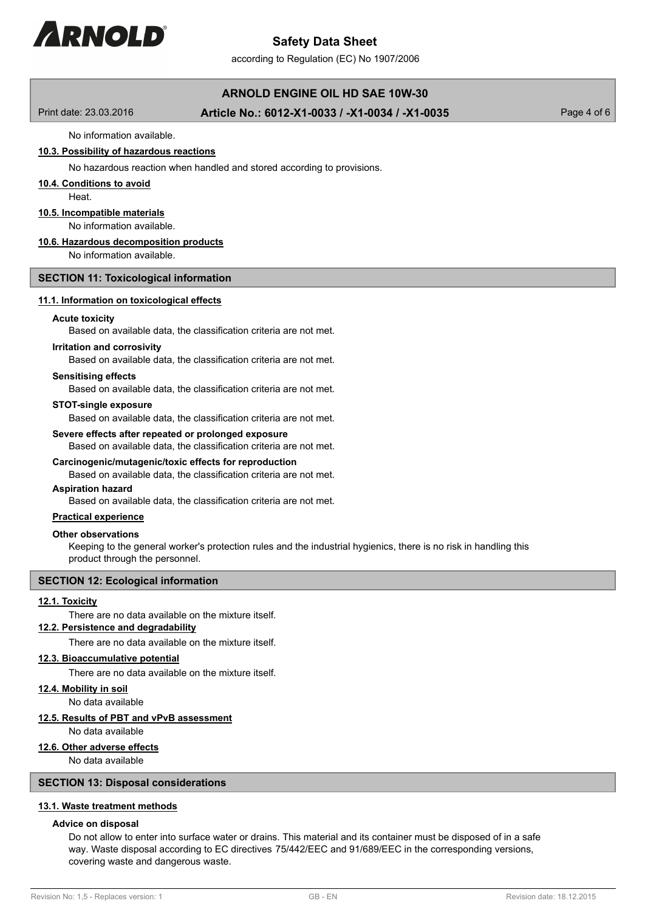

according to Regulation (EC) No 1907/2006

# **ARNOLD ENGINE OIL HD SAE 10W-30**

Print date: 23.03.2016 **Article No.: 6012-X1-0033 / -X1-0034 / -X1-0035** Page 4 of 6

# No information available.

# **10.3. Possibility of hazardous reactions**

No hazardous reaction when handled and stored according to provisions.

#### **10.4. Conditions to avoid**

**Heat** 

### **10.5. Incompatible materials**

No information available.

## **10.6. Hazardous decomposition products**

No information available.

## **SECTION 11: Toxicological information**

### **11.1. Information on toxicological effects**

#### **Acute toxicity**

Based on available data, the classification criteria are not met.

#### **Irritation and corrosivity**

Based on available data, the classification criteria are not met.

### **Sensitising effects**

Based on available data, the classification criteria are not met.

## **STOT-single exposure**

Based on available data, the classification criteria are not met.

### **Severe effects after repeated or prolonged exposure**

Based on available data, the classification criteria are not met.

## **Carcinogenic/mutagenic/toxic effects for reproduction**

Based on available data, the classification criteria are not met.

### **Aspiration hazard**

Based on available data, the classification criteria are not met.

#### **Practical experience**

#### **Other observations**

Keeping to the general worker's protection rules and the industrial hygienics, there is no risk in handling this product through the personnel.

## **SECTION 12: Ecological information**

#### **12.1. Toxicity**

There are no data available on the mixture itself.

# **12.2. Persistence and degradability**

There are no data available on the mixture itself.

#### **12.3. Bioaccumulative potential**

There are no data available on the mixture itself.

# **12.4. Mobility in soil**

No data available

# **12.5. Results of PBT and vPvB assessment**

No data available

# **12.6. Other adverse effects**

No data available

# **SECTION 13: Disposal considerations**

# **13.1. Waste treatment methods**

# **Advice on disposal**

Do not allow to enter into surface water or drains. This material and its container must be disposed of in a safe way. Waste disposal according to EC directives 75/442/EEC and 91/689/EEC in the corresponding versions, covering waste and dangerous waste.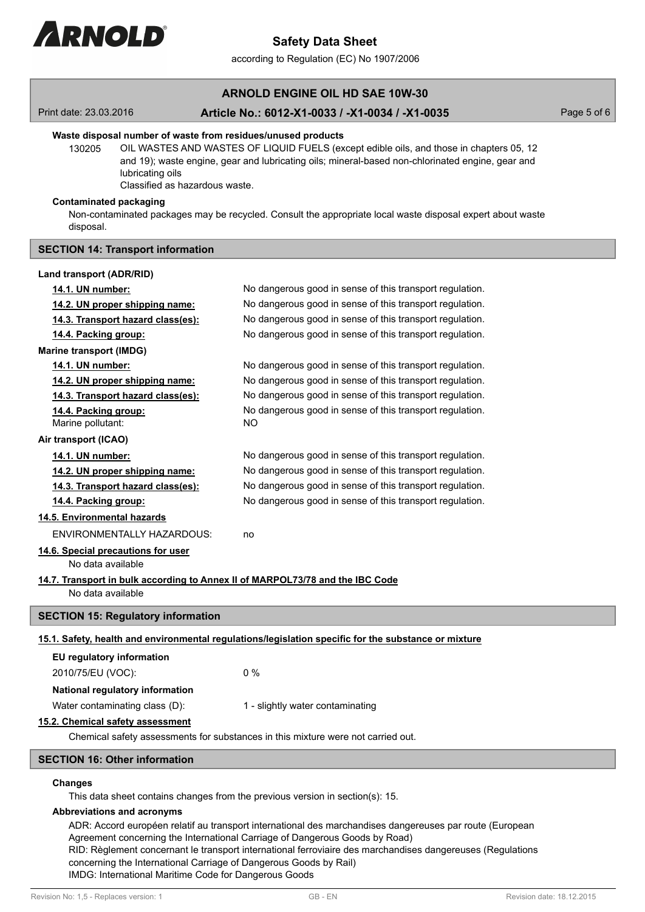

according to Regulation (EC) No 1907/2006

# **ARNOLD ENGINE OIL HD SAE 10W-30**

## Print date: 23.03.2016 **Article No.: 6012-X1-0033 / -X1-0034 / -X1-0035** Page 5 of 6

### **Waste disposal number of waste from residues/unused products**

130205 OIL WASTES AND WASTES OF LIQUID FUELS (except edible oils, and those in chapters 05, 12 and 19); waste engine, gear and lubricating oils; mineral-based non-chlorinated engine, gear and lubricating oils

Classified as hazardous waste.

## **Contaminated packaging**

Non-contaminated packages may be recycled. Consult the appropriate local waste disposal expert about waste disposal.

## **SECTION 14: Transport information**

| Land transport (ADR/RID)                                                                           |                                                                                                      |  |  |  |
|----------------------------------------------------------------------------------------------------|------------------------------------------------------------------------------------------------------|--|--|--|
| 14.1. UN number:                                                                                   | No dangerous good in sense of this transport regulation.                                             |  |  |  |
| 14.2. UN proper shipping name:                                                                     | No dangerous good in sense of this transport regulation.                                             |  |  |  |
| 14.3. Transport hazard class(es):                                                                  | No dangerous good in sense of this transport regulation.                                             |  |  |  |
| 14.4. Packing group:                                                                               | No dangerous good in sense of this transport regulation.                                             |  |  |  |
| <b>Marine transport (IMDG)</b>                                                                     |                                                                                                      |  |  |  |
| 14.1. UN number:                                                                                   | No dangerous good in sense of this transport regulation.                                             |  |  |  |
| 14.2. UN proper shipping name:                                                                     | No dangerous good in sense of this transport regulation.                                             |  |  |  |
| 14.3. Transport hazard class(es):                                                                  | No dangerous good in sense of this transport regulation.                                             |  |  |  |
| 14.4. Packing group:<br>Marine pollutant:                                                          | No dangerous good in sense of this transport regulation.<br><b>NO</b>                                |  |  |  |
| Air transport (ICAO)                                                                               |                                                                                                      |  |  |  |
| 14.1. UN number:                                                                                   | No dangerous good in sense of this transport regulation.                                             |  |  |  |
| 14.2. UN proper shipping name:                                                                     | No dangerous good in sense of this transport regulation.                                             |  |  |  |
| 14.3. Transport hazard class(es):                                                                  | No dangerous good in sense of this transport regulation.                                             |  |  |  |
| 14.4. Packing group:                                                                               | No dangerous good in sense of this transport regulation.                                             |  |  |  |
| 14.5. Environmental hazards                                                                        |                                                                                                      |  |  |  |
| <b>ENVIRONMENTALLY HAZARDOUS:</b>                                                                  | no                                                                                                   |  |  |  |
| 14.6. Special precautions for user<br>No data available                                            |                                                                                                      |  |  |  |
| 14.7. Transport in bulk according to Annex II of MARPOL73/78 and the IBC Code<br>No data available |                                                                                                      |  |  |  |
| <b>SECTION 15: Regulatory information</b>                                                          |                                                                                                      |  |  |  |
|                                                                                                    | 15.1. Safety, health and environmental regulations/legislation specific for the substance or mixture |  |  |  |
| EU regulatory information                                                                          |                                                                                                      |  |  |  |
| 2010/75/EU (VOC):                                                                                  | $0\%$                                                                                                |  |  |  |
| National regulatory information                                                                    |                                                                                                      |  |  |  |
| Water contaminating class (D):                                                                     | 1 - slightly water contaminating                                                                     |  |  |  |
| 15.2. Chemical safety assessment                                                                   |                                                                                                      |  |  |  |
| Chemical safety assessments for substances in this mixture were not carried out.                   |                                                                                                      |  |  |  |
| <b>SECTION 16: Other information</b>                                                               |                                                                                                      |  |  |  |

### **Changes**

This data sheet contains changes from the previous version in section(s): 15.

### **Abbreviations and acronyms**

ADR: Accord européen relatif au transport international des marchandises dangereuses par route (European Agreement concerning the International Carriage of Dangerous Goods by Road) RID: Règlement concernant le transport international ferroviaire des marchandises dangereuses (Regulations concerning the International Carriage of Dangerous Goods by Rail) IMDG: International Maritime Code for Dangerous Goods